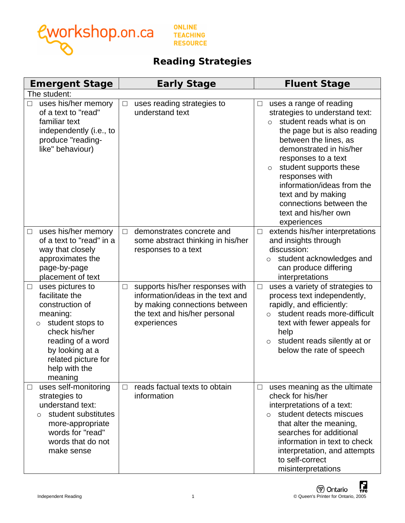

**ONLINE TEACHING RESOURCE** 

## **Reading Strategies**

| <b>Emergent Stage</b>                                                                                                                                                                                            | <b>Early Stage</b>                                                                                                                                              | <b>Fluent Stage</b>                                                                                                                                                                                                                                                                                                                                                                       |
|------------------------------------------------------------------------------------------------------------------------------------------------------------------------------------------------------------------|-----------------------------------------------------------------------------------------------------------------------------------------------------------------|-------------------------------------------------------------------------------------------------------------------------------------------------------------------------------------------------------------------------------------------------------------------------------------------------------------------------------------------------------------------------------------------|
| The student:                                                                                                                                                                                                     |                                                                                                                                                                 |                                                                                                                                                                                                                                                                                                                                                                                           |
| uses his/her memory<br>of a text to "read"<br>familiar text<br>independently (i.e., to<br>produce "reading-<br>like" behaviour)                                                                                  | uses reading strategies to<br>⊔<br>understand text                                                                                                              | uses a range of reading<br>strategies to understand text:<br>student reads what is on<br>$\Omega$<br>the page but is also reading<br>between the lines, as<br>demonstrated in his/her<br>responses to a text<br>student supports these<br>$\circ$<br>responses with<br>information/ideas from the<br>text and by making<br>connections between the<br>text and his/her own<br>experiences |
| uses his/her memory<br>$\Box$<br>of a text to "read" in a<br>way that closely<br>approximates the<br>page-by-page<br>placement of text                                                                           | demonstrates concrete and<br>$\Box$<br>some abstract thinking in his/her<br>responses to a text                                                                 | extends his/her interpretations<br>$\Box$<br>and insights through<br>discussion:<br>student acknowledges and<br>$\circ$<br>can produce differing<br>interpretations                                                                                                                                                                                                                       |
| uses pictures to<br>$\Box$<br>facilitate the<br>construction of<br>meaning:<br>student stops to<br>O<br>check his/her<br>reading of a word<br>by looking at a<br>related picture for<br>help with the<br>meaning | supports his/her responses with<br>$\Box$<br>information/ideas in the text and<br>by making connections between<br>the text and his/her personal<br>experiences | uses a variety of strategies to<br>$\Box$<br>process text independently,<br>rapidly, and efficiently:<br>student reads more-difficult<br>$\Omega$<br>text with fewer appeals for<br>help<br>student reads silently at or<br>$\circ$<br>below the rate of speech                                                                                                                           |
| uses self-monitoring<br>$\Box$<br>strategies to<br>understand text:<br>student substitutes<br>O<br>more-appropriate<br>words for "read"<br>words that do not<br>make sense                                       | reads factual texts to obtain<br>П<br>information                                                                                                               | uses meaning as the ultimate<br>$\Box$<br>check for his/her<br>interpretations of a text:<br>student detects miscues<br>$\bigcap$<br>that alter the meaning,<br>searches for additional<br>information in text to check<br>interpretation, and attempts<br>to self-correct<br>misinterpretations                                                                                          |